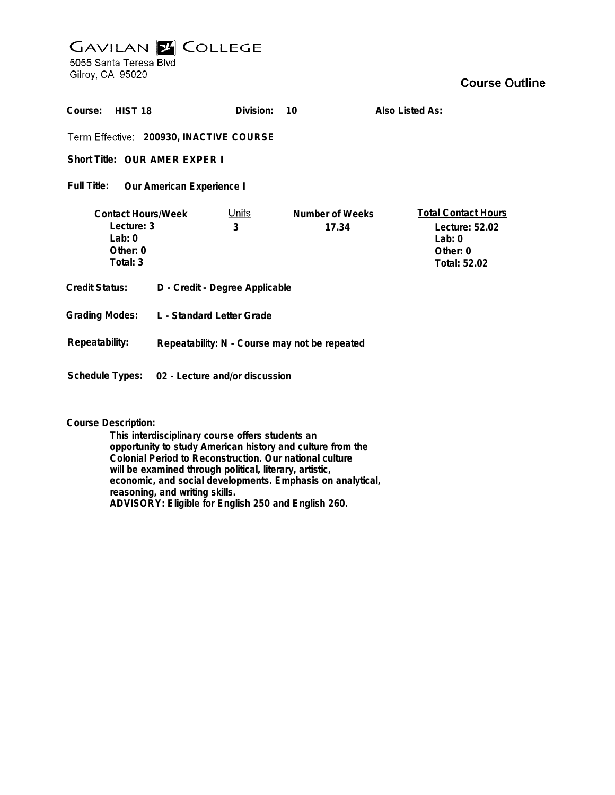## **GAVILAN Z COLLEGE** 5055 Santa Teresa Blvd

Gilroy, CA 95020

| Course:<br>HIST 18                                                               |                                               | Division:         | 10                       | Also Listed As:                                                                      |
|----------------------------------------------------------------------------------|-----------------------------------------------|-------------------|--------------------------|--------------------------------------------------------------------------------------|
| Term Effective: 200930, INACTIVE COURSE                                          |                                               |                   |                          |                                                                                      |
| Short Title: OUR AMER EXPER I                                                    |                                               |                   |                          |                                                                                      |
| Full Title:<br>Our American Experience I                                         |                                               |                   |                          |                                                                                      |
| <b>Contact Hours/Week</b><br>Lecture: 3<br>$1$ ab: $0$<br>Other: $0$<br>Total: 3 |                                               | <u>Units</u><br>3 | Number of Weeks<br>17.34 | <b>Total Contact Hours</b><br>Lecture: 52.02<br>Lab: $0$<br>Other: 0<br>Total: 52.02 |
| <b>Credit Status:</b>                                                            | D - Credit - Degree Applicable                |                   |                          |                                                                                      |
| <b>Grading Modes:</b>                                                            | L - Standard Letter Grade                     |                   |                          |                                                                                      |
| Repeatability:                                                                   | Repeatability: N - Course may not be repeated |                   |                          |                                                                                      |
| Schedule Types:                                                                  | 02 - Lecture and/or discussion                |                   |                          |                                                                                      |

**Course Description:**

**This interdisciplinary course offers students an opportunity to study American history and culture from the Colonial Period to Reconstruction. Our national culture will be examined through political, literary, artistic, economic, and social developments. Emphasis on analytical, reasoning, and writing skills. ADVISORY: Eligible for English 250 and English 260.**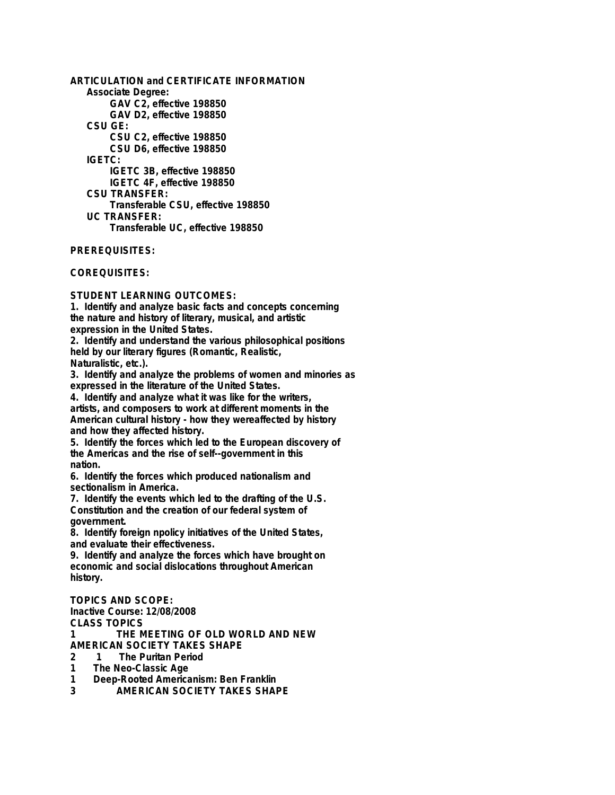**ARTICULATION and CERTIFICATE INFORMATION Associate Degree: GAV C2, effective 198850 GAV D2, effective 198850 CSU GE: CSU C2, effective 198850 CSU D6, effective 198850 IGETC: IGETC 3B, effective 198850 IGETC 4F, effective 198850 CSU TRANSFER: Transferable CSU, effective 198850 UC TRANSFER: Transferable UC, effective 198850**

**PREREQUISITES:**

**COREQUISITES:**

**STUDENT LEARNING OUTCOMES:**

**1. Identify and analyze basic facts and concepts concerning the nature and history of literary, musical, and artistic expression in the United States.**

**2. Identify and understand the various philosophical positions held by our literary figures (Romantic, Realistic, Naturalistic, etc.).**

**3. Identify and analyze the problems of women and minories as expressed in the literature of the United States.**

**4. Identify and analyze what it was like for the writers, artists, and composers to work at different moments in the American cultural history - how they wereaffected by history and how they affected history.**

**5. Identify the forces which led to the European discovery of the Americas and the rise of self--government in this nation.**

**6. Identify the forces which produced nationalism and sectionalism in America.**

**7. Identify the events which led to the drafting of the U.S. Constitution and the creation of our federal system of government.**

**8. Identify foreign npolicy initiatives of the United States, and evaluate their effectiveness.**

**9. Identify and analyze the forces which have brought on economic and social dislocations throughout American history.**

**TOPICS AND SCOPE: Inactive Course: 12/08/2008 CLASS TOPICS 1 THE MEETING OF OLD WORLD AND NEW AMERICAN SOCIETY TAKES SHAPE**

**2 1 The Puritan Period**

**1 The Neo-Classic Age**

**1 Deep-Rooted Americanism: Ben Franklin**

**3 AMERICAN SOCIETY TAKES SHAPE**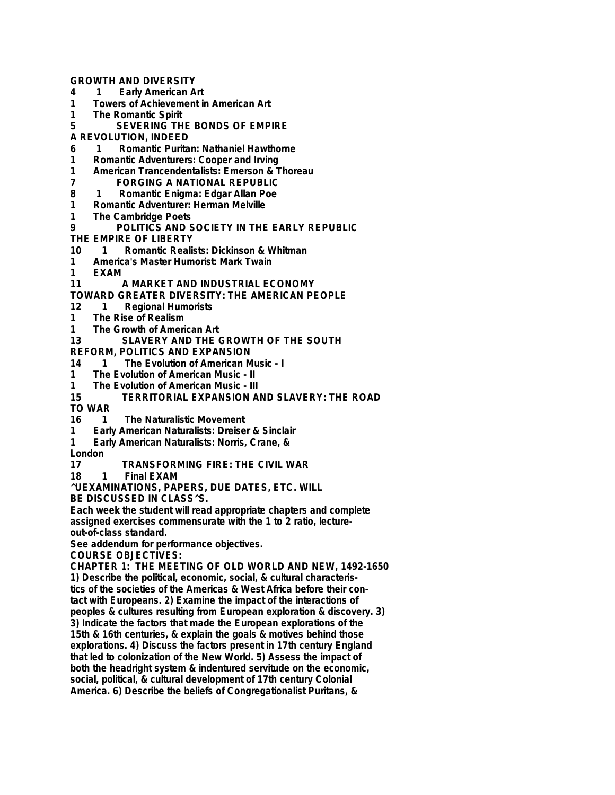**GROWTH AND DIVERSITY**

- **4 1 Early American Art**
- **1 Towers of Achievement in American Art**
- **1 The Romantic Spirit**
- **5 SEVERING THE BONDS OF EMPIRE**

**A REVOLUTION, INDEED**

- **6 1 Romantic Puritan: Nathaniel Hawthorne**
- **1** Romantic Adventurers: Cooper and Irving<br>**1** American Trancendentalists: Fmerson & T
- **1 American Trancendentalists: Emerson & Thoreau**
- **7 FORGING A NATIONAL REPUBLIC**
- **8 1 Romantic Enigma: Edgar Allan Poe**
- **1 Romantic Adventurer: Herman Melville**
- **1 The Cambridge Poets**
- **9 POLITICS AND SOCIETY IN THE EARLY REPUBLIC**
- **THE EMPIRE OF LIBERTY**
- **10 1 Romantic Realists: Dickinson & Whitman**
- **1 America's Master Humorist: Mark Twain**
- **1 EXAM**
- **11 A MARKET AND INDUSTRIAL ECONOMY**
- **TOWARD GREATER DIVERSITY: THE AMERICAN PEOPLE**
- **12 1 Regional Humorists**
- **1 The Rise of Realism**
- **1 The Growth of American Art**
- **13 SLAVERY AND THE GROWTH OF THE SOUTH**
- **REFORM, POLITICS AND EXPANSION**
- **14 1 The Evolution of American Music I**
- 
- **1 The Evolution of American Music II 1 The Evolution of American Music - III**
- **15 TERRITORIAL EXPANSION AND SLAVERY: THE ROAD**
- **TO WAR**
- **1** The Naturalistic Movement
- **1 Early American Naturalists: Dreiser & Sinclair**
- **1 Early American Naturalists: Norris, Crane, &**

**London**

- **17 TRANSFORMING FIRE: THE CIVIL WAR**
- **Final EXAM**

**^UEXAMINATIONS, PAPERS, DUE DATES, ETC. WILL**

**BE DISCUSSED IN CLASS^S.**

**Each week the student will read appropriate chapters and complete assigned exercises commensurate with the 1 to 2 ratio, lectureout-of-class standard.**

**See addendum for performance objectives.**

**COURSE OBJECTIVES:**

**CHAPTER 1: THE MEETING OF OLD WORLD AND NEW, 1492-1650 1) Describe the political, economic, social, & cultural characteris-**

**tics of the societies of the Americas & West Africa before their contact with Europeans. 2) Examine the impact of the interactions of peoples & cultures resulting from European exploration & discovery. 3) 3) Indicate the factors that made the European explorations of the 15th & 16th centuries, & explain the goals & motives behind those explorations. 4) Discuss the factors present in 17th century England that led to colonization of the New World. 5) Assess the impact of both the headright system & indentured servitude on the economic, social, political, & cultural development of 17th century Colonial America. 6) Describe the beliefs of Congregationalist Puritans, &**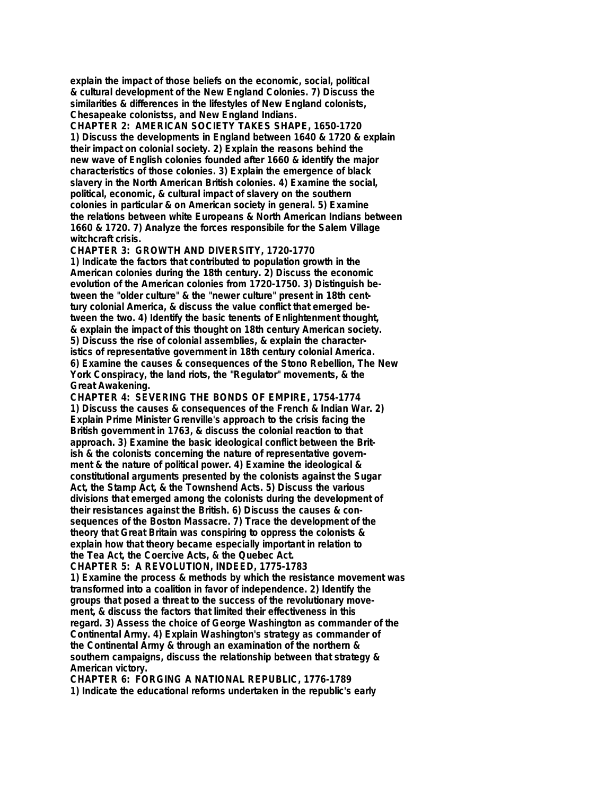**explain the impact of those beliefs on the economic, social, political & cultural development of the New England Colonies. 7) Discuss the similarities & differences in the lifestyles of New England colonists, Chesapeake colonistss, and New England Indians.**

**CHAPTER 2: AMERICAN SOCIETY TAKES SHAPE, 1650-1720 1) Discuss the developments in England between 1640 & 1720 & explain their impact on colonial society. 2) Explain the reasons behind the new wave of English colonies founded after 1660 & identify the major characteristics of those colonies. 3) Explain the emergence of black slavery in the North American British colonies. 4) Examine the social, political, economic, & cultural impact of slavery on the southern colonies in particular & on American society in general. 5) Examine the relations between white Europeans & North American Indians between 1660 & 1720. 7) Analyze the forces responsibile for the Salem Village witchcraft crisis.**

**CHAPTER 3: GROWTH AND DIVERSITY, 1720-1770 1) Indicate the factors that contributed to population growth in the American colonies during the 18th century. 2) Discuss the economic evolution of the American colonies from 1720-1750. 3) Distinguish between the "older culture" & the "newer culture" present in 18th centtury colonial America, & discuss the value conflict that emerged between the two. 4) Identify the basic tenents of Enlightenment thought, & explain the impact of this thought on 18th century American society. 5) Discuss the rise of colonial assemblies, & explain the characteristics of representative government in 18th century colonial America. 6) Examine the causes & consequences of the Stono Rebellion, The New York Conspiracy, the land riots, the "Regulator" movements, & the Great Awakening.**

**CHAPTER 4: SEVERING THE BONDS OF EMPIRE, 1754-1774 1) Discuss the causes & consequences of the French & Indian War. 2) Explain Prime Minister Grenville's approach to the crisis facing the British government in 1763, & discuss the colonial reaction to that approach. 3) Examine the basic ideological conflict between the British & the colonists concerning the nature of representative government & the nature of political power. 4) Examine the ideological & constitutional arguments presented by the colonists against the Sugar Act, the Stamp Act, & the Townshend Acts. 5) Discuss the various divisions that emerged among the colonists during the development of their resistances against the British. 6) Discuss the causes & consequences of the Boston Massacre. 7) Trace the development of the theory that Great Britain was conspiring to oppress the colonists & explain how that theory became especially important in relation to the Tea Act, the Coercive Acts, & the Quebec Act.**

**CHAPTER 5: A REVOLUTION, INDEED, 1775-1783 1) Examine the process & methods by which the resistance movement was transformed into a coalition in favor of independence. 2) Identify the groups that posed a threat to the success of the revolutionary movement, & discuss the factors that limited their effectiveness in this regard. 3) Assess the choice of George Washington as commander of the Continental Army. 4) Explain Washington's strategy as commander of the Continental Army & through an examination of the northern & southern campaigns, discuss the relationship between that strategy & American victory.**

**CHAPTER 6: FORGING A NATIONAL REPUBLIC, 1776-1789 1) Indicate the educational reforms undertaken in the republic's early**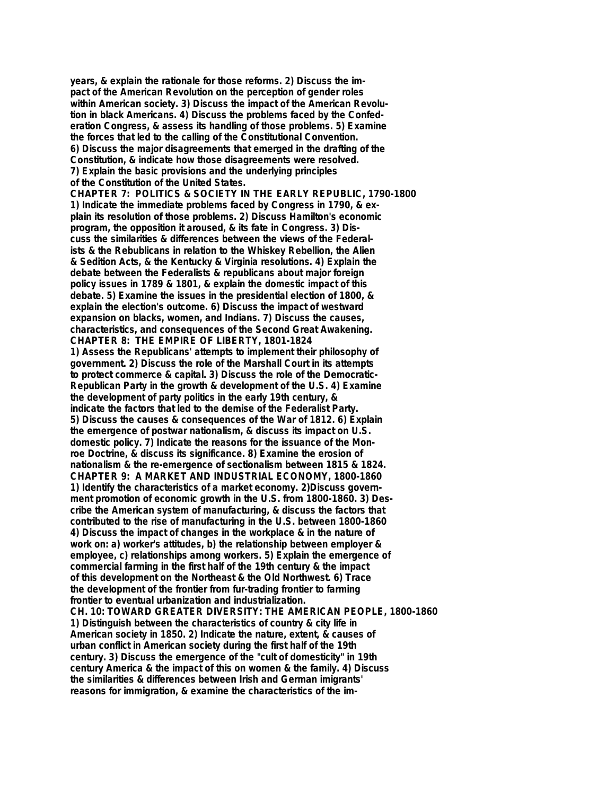**years, & explain the rationale for those reforms. 2) Discuss the impact of the American Revolution on the perception of gender roles within American society. 3) Discuss the impact of the American Revolution in black Americans. 4) Discuss the problems faced by the Confederation Congress, & assess its handling of those problems. 5) Examine the forces that led to the calling of the Constitutional Convention. 6) Discuss the major disagreements that emerged in the drafting of the Constitution, & indicate how those disagreements were resolved. 7) Explain the basic provisions and the underlying principles of the Constitution of the United States. CHAPTER 7: POLITICS & SOCIETY IN THE EARLY REPUBLIC, 1790-1800 1) Indicate the immediate problems faced by Congress in 1790, & explain its resolution of those problems. 2) Discuss Hamilton's economic program, the opposition it aroused, & its fate in Congress. 3) Discuss the similarities & differences between the views of the Federalists & the Rebublicans in relation to the Whiskey Rebellion, the Alien & Sedition Acts, & the Kentucky & Virginia resolutions. 4) Explain the debate between the Federalists & republicans about major foreign policy issues in 1789 & 1801, & explain the domestic impact of this debate. 5) Examine the issues in the presidential election of 1800, & explain the election's outcome. 6) Discuss the impact of westward expansion on blacks, women, and Indians. 7) Discuss the causes, characteristics, and consequences of the Second Great Awakening. CHAPTER 8: THE EMPIRE OF LIBERTY, 1801-1824 1) Assess the Republicans' attempts to implement their philosophy of government. 2) Discuss the role of the Marshall Court in its attempts to protect commerce & capital. 3) Discuss the role of the Democratic-Republican Party in the growth & development of the U.S. 4) Examine the development of party politics in the early 19th century, & indicate the factors that led to the demise of the Federalist Party. 5) Discuss the causes & consequences of the War of 1812. 6) Explain the emergence of postwar nationalism, & discuss its impact on U.S. domestic policy. 7) Indicate the reasons for the issuance of the Monroe Doctrine, & discuss its significance. 8) Examine the erosion of nationalism & the re-emergence of sectionalism between 1815 & 1824. CHAPTER 9: A MARKET AND INDUSTRIAL ECONOMY, 1800-1860 1) Identify the characteristics of a market economy. 2)Discuss government promotion of economic growth in the U.S. from 1800-1860. 3) Describe the American system of manufacturing, & discuss the factors that contributed to the rise of manufacturing in the U.S. between 1800-1860 4) Discuss the impact of changes in the workplace & in the nature of work on: a) worker's attitudes, b) the relationship between employer & employee, c) relationships among workers. 5) Explain the emergence of commercial farming in the first half of the 19th century & the impact of this development on the Northeast & the Old Northwest. 6) Trace the development of the frontier from fur-trading frontier to farming frontier to eventual urbanization and industrialization. CH. 10: TOWARD GREATER DIVERSITY: THE AMERICAN PEOPLE, 1800-1860 1) Distinguish between the characteristics of country & city life in American society in 1850. 2) Indicate the nature, extent, & causes of urban conflict in American society during the first half of the 19th century. 3) Discuss the emergence of the "cult of domesticity" in 19th century America & the impact of this on women & the family. 4) Discuss the similarities & differences between Irish and German imigrants' reasons for immigration, & examine the characteristics of the im-**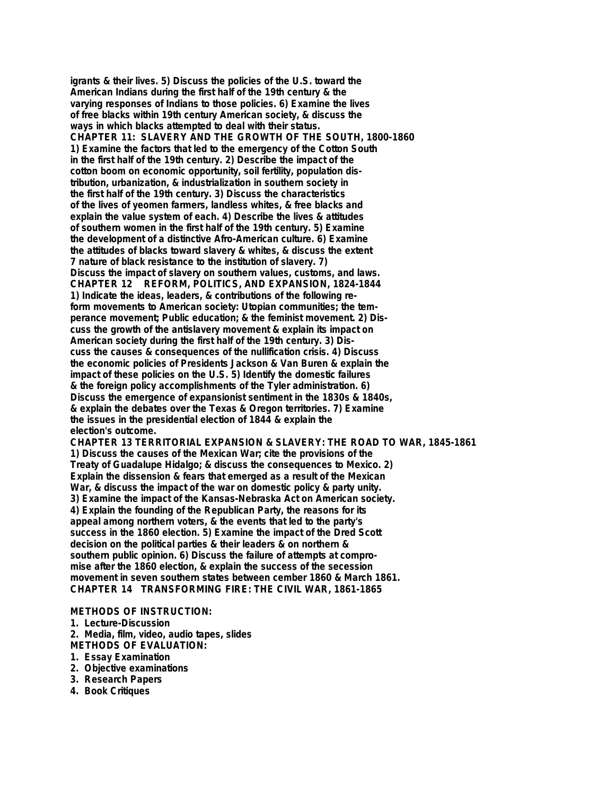**igrants & their lives. 5) Discuss the policies of the U.S. toward the American Indians during the first half of the 19th century & the varying responses of Indians to those policies. 6) Examine the lives of free blacks within 19th century American society, & discuss the ways in which blacks attempted to deal with their status. CHAPTER 11: SLAVERY AND THE GROWTH OF THE SOUTH, 1800-1860 1) Examine the factors that led to the emergency of the Cotton South in the first half of the 19th century. 2) Describe the impact of the cotton boom on economic opportunity, soil fertility, population distribution, urbanization, & industrialization in southern society in the first half of the 19th century. 3) Discuss the characteristics of the lives of yeomen farmers, landless whites, & free blacks and explain the value system of each. 4) Describe the lives & attitudes of southern women in the first half of the 19th century. 5) Examine the development of a distinctive Afro-American culture. 6) Examine the attitudes of blacks toward slavery & whites, & discuss the extent 7 nature of black resistance to the institution of slavery. 7) Discuss the impact of slavery on southern values, customs, and laws. CHAPTER 12 REFORM, POLITICS, AND EXPANSION, 1824-1844 1) Indicate the ideas, leaders, & contributions of the following reform movements to American society: Utopian communities; the temperance movement; Public education; & the feminist movement. 2) Discuss the growth of the antislavery movement & explain its impact on American society during the first half of the 19th century. 3) Discuss the causes & consequences of the nullification crisis. 4) Discuss the economic policies of Presidents Jackson & Van Buren & explain the impact of these policies on the U.S. 5) Identify the domestic failures & the foreign policy accomplishments of the Tyler administration. 6) Discuss the emergence of expansionist sentiment in the 1830s & 1840s, & explain the debates over the Texas & Oregon territories. 7) Examine the issues in the presidential election of 1844 & explain the election's outcome. CHAPTER 13 TERRITORIAL EXPANSION & SLAVERY: THE ROAD TO WAR, 1845-1861**

**1) Discuss the causes of the Mexican War; cite the provisions of the Treaty of Guadalupe Hidalgo; & discuss the consequences to Mexico. 2) Explain the dissension & fears that emerged as a result of the Mexican War, & discuss the impact of the war on domestic policy & party unity. 3) Examine the impact of the Kansas-Nebraska Act on American society. 4) Explain the founding of the Republican Party, the reasons for its appeal among northern voters, & the events that led to the party's success in the 1860 election. 5) Examine the impact of the Dred Scott decision on the political parties & their leaders & on northern & southern public opinion. 6) Discuss the failure of attempts at compromise after the 1860 election, & explain the success of the secession movement in seven southern states between cember 1860 & March 1861. CHAPTER 14 TRANSFORMING FIRE: THE CIVIL WAR, 1861-1865**

- **METHODS OF INSTRUCTION:**
- **1. Lecture-Discussion**
- **2. Media, film, video, audio tapes, slides**
- **METHODS OF EVALUATION:**
- **1. Essay Examination**
- **2. Objective examinations**
- **3. Research Papers**
- **4. Book Critiques**